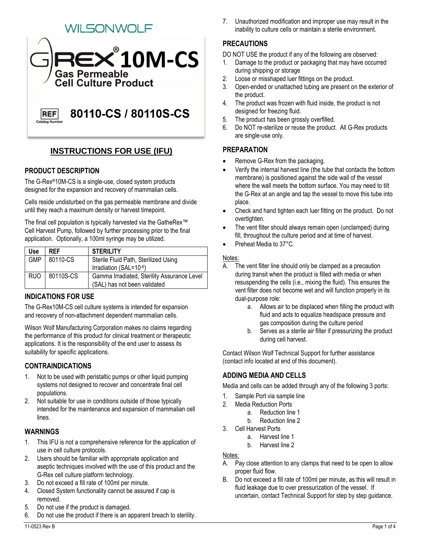# WILSONWOLF



## **INSTRUCTIONS FOR USE (IFU)**

## **PRODUCT DESCRIPTION**

The G-Rex®10M-CS is a single-use, closed system products designed for the expansion and recovery of mammalian cells.

Cells reside undisturbed on the gas permeable membrane and divide until they reach a maximum density or harvest timepoint.

The final cell population is typically harvested via the GatheRex™ Cell Harvest Pump, followed by further processing prior to the final application. Optionally, a 100ml syringe may be utilized.

| Use        | <b>RFF</b>    | <b>STERILITY</b>                            |
|------------|---------------|---------------------------------------------|
| <b>GMP</b> | 80110-CS      | Sterile Fluid Path, Sterilized Using        |
|            |               | Irradiation (SAL=10-6)                      |
|            | RUO 80110S-CS | Gamma Irradiated, Sterility Assurance Level |
|            |               | (SAL) has not been validated                |

## **INDICATIONS FOR USE**

The G-Rex10M-CS cell culture systems is intended for expansion and recovery of non-attachment dependent mammalian cells.

Wilson Wolf Manufacturing Corporation makes no claims regarding the performance of this product for clinical treatment or therapeutic applications. It is the responsibility of the end user to assess its suitability for specific applications.

## **CONTRAINDICATIONS**

- 1. Not to be used with peristaltic pumps or other liquid pumping systems not designed to recover and concentrate final cell populations.
- 2. Not suitable for use in conditions outside of those typically intended for the maintenance and expansion of mammalian cell lines.

## **WARNINGS**

- 1. This IFU is not a comprehensive reference for the application of use in cell culture protocols.
- 2. Users should be familiar with appropriate application and aseptic techniques involved with the use of this product and the G-Rex cell culture platform technology.
- 3. Do not exceed a fill rate of 100ml per minute.
- 4. Closed System functionality cannot be assured if cap is removed.
- 5. Do not use if the product is damaged.
- 6. Do not use the product if there is an apparent breach to sterility.

7. Unauthorized modification and improper use may result in the inability to culture cells or maintain a sterile environment.

## **PRECAUTIONS**

DO NOT USE the product if any of the following are observed:

- 1. Damage to the product or packaging that may have occurred during shipping or storage
- 2. Loose or misshaped luer fittings on the product.
- 3. Open-ended or unattached tubing are present on the exterior of the product.
- 4. The product was frozen with fluid inside, the product is not designed for freezing fluid.
- 5. The product has been grossly overfilled.
- 6. Do NOT re-sterilize or reuse the product. All G-Rex products are single-use only.

## **PREPARATION**

- Remove G-Rex from the packaging.
- Verify the internal harvest line (the tube that contacts the bottom membrane) is positioned against the side wall of the vessel where the wall meets the bottom surface. You may need to tilt the G-Rex at an angle and tap the vessel to move this tube into place.
- Check and hand tighten each luer fitting on the product. Do not overtighten.
- The vent filter should always remain open (unclamped) during fill, throughout the culture period and at time of harvest.
- Preheat Media to 37°C.

#### Notes:

- A. The vent filter line should only be clamped as a precaution during transit when the product is filled with media or when resuspending the cells (i.e., mixing the fluid). This ensures the vent filter does not become wet and will function properly in its dual-purpose role:
	- a. Allows air to be displaced when filling the product with fluid and acts to equalize headspace pressure and gas composition during the culture period
	- b. Serves as a sterile air filter if pressurizing the product during cell harvest.

Contact Wilson Wolf Technical Support for further assistance (contact info located at end of this document).

## **ADDING MEDIA AND CELLS**

Media and cells can be added through any of the following 3 ports:

- 1. Sample Port via sample line
- 2. Media Reduction Ports
	- a. Reduction line 1
	- b. Reduction line 2
- 3. Cell Harvest Ports
	- a. Harvest line 1
	- b. Harvest line 2

#### Notes:

- A. Pay close attention to any clamps that need to be open to allow proper fluid flow.
- B. Do not exceed a fill rate of 100ml per minute, as this will result in fluid leakage due to over pressurization of the vessel. If uncertain, contact Technical Support for step by step guidance.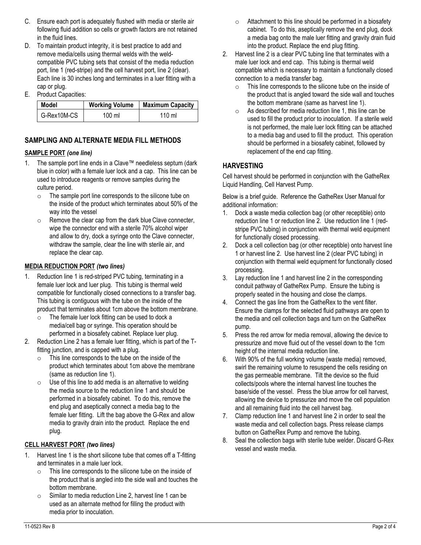- C. Ensure each port is adequately flushed with media or sterile air following fluid addition so cells or growth factors are not retained in the fluid lines.
- D. To maintain product integrity, it is best practice to add and remove media/cells using thermal welds with the weldcompatible PVC tubing sets that consist of the media reduction port, line 1 (red-stripe) and the cell harvest port, line 2 (clear). Each line is 30 inches long and terminates in a luer fitting with a cap or plug.
- E. Product Capacities:

| Model       | <b>Working Volume</b> | <b>Maximum Capacity</b> |
|-------------|-----------------------|-------------------------|
| G-Rex10M-CS | 100 ml                | $110 \text{ ml}$        |

## **SAMPLING AND ALTERNATE MEDIA FILL METHODS**

#### **SAMPLE PORT** *(one line)*

- 1. The sample port line ends in a Clave™ needleless septum (dark blue in color) with a female luer lock and a cap. This line can be used to introduce reagents or remove samples during the culture period.
	- o The sample port line corresponds to the silicone tube on the inside of the product which terminates about 50% of the way into the vessel
	- o Remove the clear cap from the dark blue Clave connecter, wipe the connector end with a sterile 70% alcohol wiper and allow to dry, dock a syringe onto the Clave connecter, withdraw the sample, clear the line with sterile air, and replace the clear cap.

#### **MEDIA REDUCTION PORT** *(two lines)*

- 1. Reduction line 1 is red-striped PVC tubing, terminating in a female luer lock and luer plug. This tubing is thermal weld compatible for functionally closed connections to a transfer bag. This tubing is contiguous with the tube on the inside of the product that terminates about 1cm above the bottom membrane.
	- o The female luer lock fitting can be used to dock a media/cell bag or syringe. This operation should be performed in a biosafety cabinet. Replace luer plug.
- 2. Reduction Line 2 has a female luer fitting, which is part of the Tfitting junction, and is capped with a plug.
	- o This line corresponds to the tube on the inside of the product which terminates about 1cm above the membrane (same as reduction line 1).
	- $\circ$  Use of this line to add media is an alternative to welding the media source to the reduction line 1 and should be performed in a biosafety cabinet. To do this, remove the end plug and aseptically connect a media bag to the female luer fitting. Lift the bag above the G-Rex and allow media to gravity drain into the product. Replace the end plug.

#### **CELL HARVEST PORT** *(two lines)*

- 1. Harvest line 1 is the short silicone tube that comes off a T-fitting and terminates in a male luer lock.
	- o This line corresponds to the silicone tube on the inside of the product that is angled into the side wall and touches the bottom membrane.
	- o Similar to media reduction Line 2, harvest line 1 can be used as an alternate method for filling the product with media prior to inoculation.
- $\circ$  Attachment to this line should be performed in a biosafety cabinet. To do this, aseptically remove the end plug, dock a media bag onto the male luer fitting and gravity drain fluid into the product. Replace the end plug fitting.
- 2. Harvest line 2 is a clear PVC tubing line that terminates with a male luer lock and end cap. This tubing is thermal weld compatible which is necessary to maintain a functionally closed connection to a media transfer bag.
	- o This line corresponds to the silicone tube on the inside of the product that is angled toward the side wall and touches the bottom membrane (same as harvest line 1).
	- o As described for media reduction line 1, this line can be used to fill the product prior to inoculation. If a sterile weld is not performed, the male luer lock fitting can be attached to a media bag and used to fill the product. This operation should be performed in a biosafety cabinet, followed by replacement of the end cap fitting.

## **HARVESTING**

Cell harvest should be performed in conjunction with the GatheRex Liquid Handling, Cell Harvest Pump.

Below is a brief guide. Reference the GatheRex User Manual for additional information:

- 1. Dock a waste media collection bag (or other receptible) onto reduction line 1 or reduction line 2. Use reduction line 1 (redstripe PVC tubing) in conjunction with thermal weld equipment for functionally closed processing.
- 2. Dock a cell collection bag (or other receptible) onto harvest line 1 or harvest line 2. Use harvest line 2 (clear PVC tubing) in conjunction with thermal weld equipment for functionally closed processing.
- 3. Lay reduction line 1 and harvest line 2 in the corresponding conduit pathway of GatheRex Pump. Ensure the tubing is properly seated in the housing and close the clamps.
- 4. Connect the gas line from the GatheRex to the vent filter. Ensure the clamps for the selected fluid pathways are open to the media and cell collection bags and turn on the GatheRex pump.
- 5. Press the red arrow for media removal, allowing the device to pressurize and move fluid out of the vessel down to the 1cm height of the internal media reduction line.
- 6. With 90% of the full working volume (waste media) removed, swirl the remaining volume to resuspend the cells residing on the gas permeable membrane. Tilt the device so the fluid collects/pools where the internal harvest line touches the base/side of the vessel. Press the blue arrow for cell harvest, allowing the device to pressurize and move the cell population and all remaining fluid into the cell harvest bag.
- 7. Clamp reduction line 1 and harvest line 2 in order to seal the waste media and cell collection bags. Press release clamps button on GatheRex Pump and remove the tubing.
- 8. Seal the collection bags with sterile tube welder. Discard G-Rex vessel and waste media.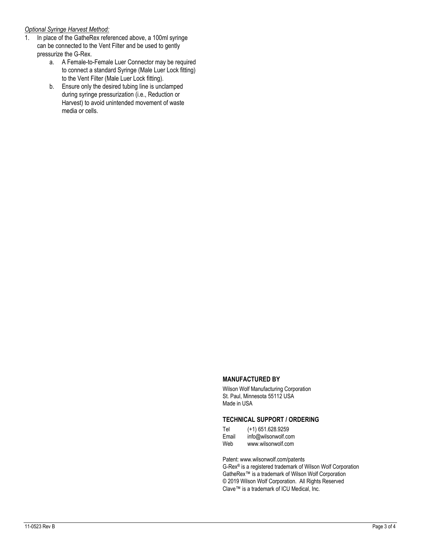#### *Optional Syringe Harvest Method:*

- 1. In place of the GatheRex referenced above, a 100ml syringe can be connected to the Vent Filter and be used to gently pressurize the G-Rex.
	- a. A Female-to-Female Luer Connector may be required to connect a standard Syringe (Male Luer Lock fitting) to the Vent Filter (Male Luer Lock fitting).
	- b. Ensure only the desired tubing line is unclamped during syringe pressurization (i.e., Reduction or Harvest) to avoid unintended movement of waste media or cells.

#### **MANUFACTURED BY**

Wilson Wolf Manufacturing Corporation St. Paul, Minnesota 55112 USA Made in USA

#### **TECHNICAL SUPPORT / ORDERING**

| Tel   | $(+1)$ 651.628.9259 |
|-------|---------------------|
| Email | info@wilsonwolf.com |
| Web   | www.wilsonwolf.com  |

Patent: www.wilsonwolf.com/patents

G-Rex® is a registered trademark of Wilson Wolf Corporation GatheRex™ is a trademark of Wilson Wolf Corporation © 2019 Wilson Wolf Corporation. All Rights Reserved Clave™ is a trademark of ICU Medical, Inc.